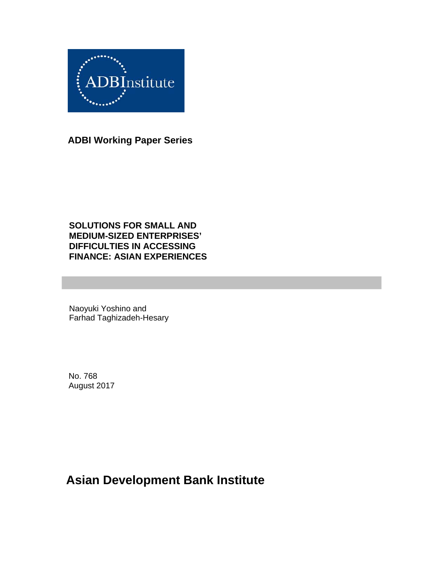

**ADBI Working Paper Series** 

### **SOLUTIONS FOR SMALL AND MEDIUM-SIZED ENTERPRISES' DIFFICULTIES IN ACCESSING FINANCE: ASIAN EXPERIENCES**

Naoyuki Yoshino and Farhad Taghizadeh-Hesary

No. 768 August 2017

# **Asian Development Bank Institute**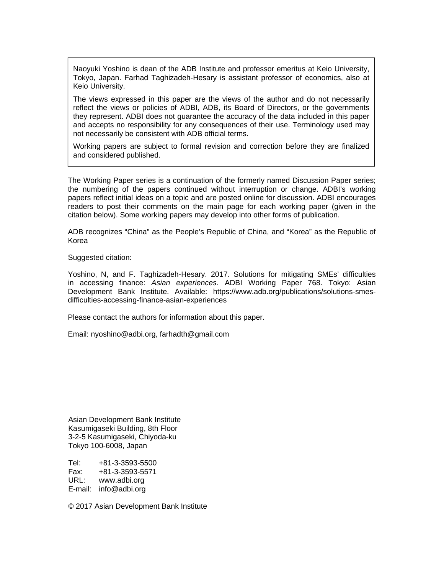Naoyuki Yoshino is dean of the ADB Institute and professor emeritus at Keio University, Tokyo, Japan. Farhad Taghizadeh-Hesary is assistant professor of economics, also at Keio University.

The views expressed in this paper are the views of the author and do not necessarily reflect the views or policies of ADBI, ADB, its Board of Directors, or the governments they represent. ADBI does not guarantee the accuracy of the data included in this paper and accepts no responsibility for any consequences of their use. Terminology used may not necessarily be consistent with ADB official terms.

Working papers are subject to formal revision and correction before they are finalized and considered published.

The Working Paper series is a continuation of the formerly named Discussion Paper series; the numbering of the papers continued without interruption or change. ADBI's working papers reflect initial ideas on a topic and are posted online for discussion. ADBI encourages readers to post their comments on the main page for each working paper (given in the citation below). Some working papers may develop into other forms of publication.

ADB recognizes "China" as the People's Republic of China, and "Korea" as the Republic of Korea

Suggested citation:

Yoshino, N, and F. Taghizadeh-Hesary. 2017. Solutions for mitigating SMEs' difficulties in accessing finance: *Asian experiences*. ADBI Working Paper 768. Tokyo: Asian Development Bank Institute. Available: https://www.adb.org/publications/solutions-smesdifficulties-accessing-finance-asian-experiences

Please contact the authors for information about this paper.

Email: nyoshino@adbi.org, farhadth@gmail.com

Asian Development Bank Institute Kasumigaseki Building, 8th Floor 3-2-5 Kasumigaseki, Chiyoda-ku Tokyo 100-6008, Japan

Tel: +81-3-3593-5500 Fax: +81-3-3593-5571 URL: www.adbi.org E-mail: info@adbi.org

© 2017 Asian Development Bank Institute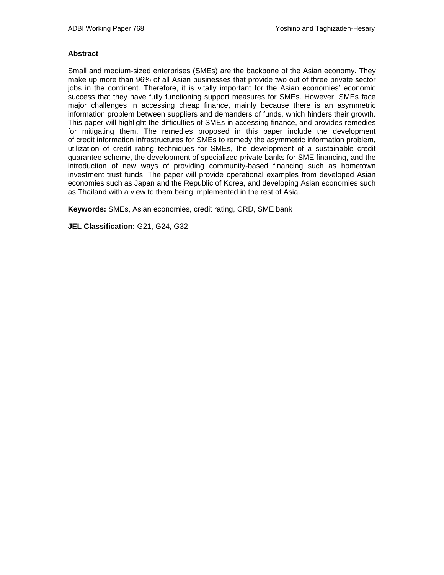#### **Abstract**

Small and medium-sized enterprises (SMEs) are the backbone of the Asian economy. They make up more than 96% of all Asian businesses that provide two out of three private sector jobs in the continent. Therefore, it is vitally important for the Asian economies' economic success that they have fully functioning support measures for SMEs. However, SMEs face major challenges in accessing cheap finance, mainly because there is an asymmetric information problem between suppliers and demanders of funds, which hinders their growth. This paper will highlight the difficulties of SMEs in accessing finance, and provides remedies for mitigating them. The remedies proposed in this paper include the development of credit information infrastructures for SMEs to remedy the asymmetric information problem, utilization of credit rating techniques for SMEs, the development of a sustainable credit guarantee scheme, the development of specialized private banks for SME financing, and the introduction of new ways of providing community-based financing such as hometown investment trust funds. The paper will provide operational examples from developed Asian economies such as Japan and the Republic of Korea, and developing Asian economies such as Thailand with a view to them being implemented in the rest of Asia.

**Keywords:** SMEs, Asian economies, credit rating, CRD, SME bank

**JEL Classification:** G21, G24, G32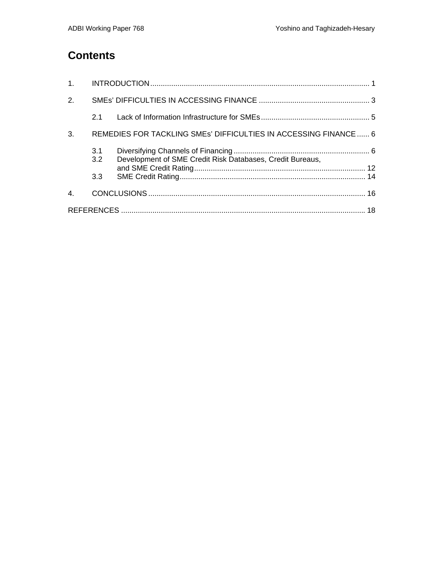## **Contents**

| 2.               |            |                                                                 |  |  |  |
|------------------|------------|-----------------------------------------------------------------|--|--|--|
|                  | 21         |                                                                 |  |  |  |
| 3.               |            | REMEDIES FOR TACKLING SMES' DIFFICULTIES IN ACCESSING FINANCE 6 |  |  |  |
|                  | 3.1<br>3.2 | Development of SME Credit Risk Databases, Credit Bureaus,       |  |  |  |
|                  | 3.3        |                                                                 |  |  |  |
| $\overline{4}$ . |            |                                                                 |  |  |  |
|                  |            |                                                                 |  |  |  |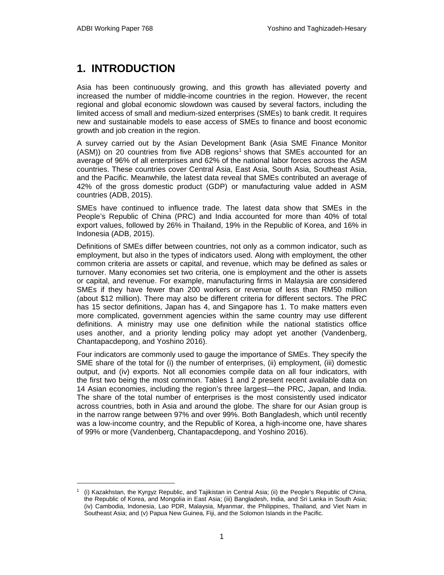$\overline{a}$ 

## **1. INTRODUCTION**

Asia has been continuously growing, and this growth has alleviated poverty and increased the number of middle-income countries in the region. However, the recent regional and global economic slowdown was caused by several factors, including the limited access of small and medium-sized enterprises (SMEs) to bank credit. It requires new and sustainable models to ease access of SMEs to finance and boost economic growth and job creation in the region.

A survey carried out by the Asian Development Bank (Asia SME Finance Monitor  $(ASM)$ ) on 20 countries from five ADB regions<sup>1</sup> shows that SMEs accounted for an average of 96% of all enterprises and 62% of the national labor forces across the ASM countries. These countries cover Central Asia, East Asia, South Asia, Southeast Asia, and the Pacific. Meanwhile, the latest data reveal that SMEs contributed an average of 42% of the gross domestic product (GDP) or manufacturing value added in ASM countries (ADB, 2015).

SMEs have continued to influence trade. The latest data show that SMEs in the People's Republic of China (PRC) and India accounted for more than 40% of total export values, followed by 26% in Thailand, 19% in the Republic of Korea, and 16% in Indonesia (ADB, 2015).

Definitions of SMEs differ between countries, not only as a common indicator, such as employment, but also in the types of indicators used. Along with employment, the other common criteria are assets or capital, and revenue, which may be defined as sales or turnover. Many economies set two criteria, one is employment and the other is assets or capital, and revenue. For example, manufacturing firms in Malaysia are considered SMEs if they have fewer than 200 workers or revenue of less than RM50 million (about \$12 million). There may also be different criteria for different sectors. The PRC has 15 sector definitions, Japan has 4, and Singapore has 1. To make matters even more complicated, government agencies within the same country may use different definitions. A ministry may use one definition while the national statistics office uses another, and a priority lending policy may adopt yet another (Vandenberg, Chantapacdepong, and Yoshino 2016).

Four indicators are commonly used to gauge the importance of SMEs. They specify the SME share of the total for (i) the number of enterprises, (ii) employment, (iii) domestic output, and (iv) exports. Not all economies compile data on all four indicators, with the first two being the most common. Tables 1 and 2 present recent available data on 14 Asian economies, including the region's three largest—the PRC, Japan, and India. The share of the total number of enterprises is the most consistently used indicator across countries, both in Asia and around the globe. The share for our Asian group is in the narrow range between 97% and over 99%. Both Bangladesh, which until recently was a low-income country, and the Republic of Korea, a high-income one, have shares of 99% or more (Vandenberg, Chantapacdepong, and Yoshino 2016).

<sup>1 (</sup>i) Kazakhstan, the Kyrgyz Republic, and Tajikistan in Central Asia; (ii) the People's Republic of China, the Republic of Korea, and Mongolia in East Asia; (iii) Bangladesh, India, and Sri Lanka in South Asia; (iv) Cambodia, Indonesia, Lao PDR, Malaysia, Myanmar, the Philippines, Thailand, and Viet Nam in Southeast Asia; and (v) Papua New Guinea, Fiji, and the Solomon Islands in the Pacific.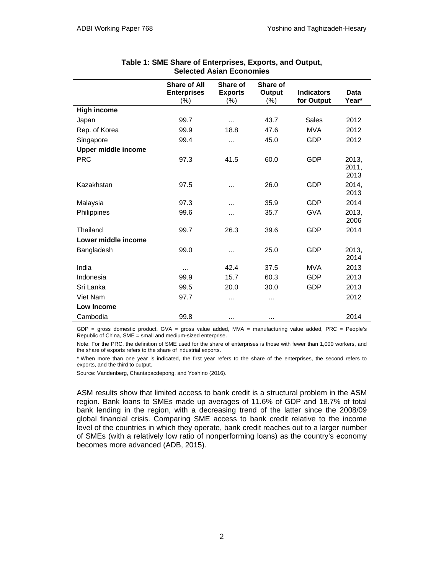|                            | <b>Share of All</b><br><b>Enterprises</b><br>$(\%)$ | Share of<br><b>Exports</b><br>$(\%)$ | Share of<br>Output<br>$(\% )$ | <b>Indicators</b><br>for Output | Data<br>Year*          |
|----------------------------|-----------------------------------------------------|--------------------------------------|-------------------------------|---------------------------------|------------------------|
| <b>High income</b>         |                                                     |                                      |                               |                                 |                        |
| Japan                      | 99.7                                                | $\cdots$                             | 43.7                          | Sales                           | 2012                   |
| Rep. of Korea              | 99.9                                                | 18.8                                 | 47.6                          | <b>MVA</b>                      | 2012                   |
| Singapore                  | 99.4                                                | .                                    | 45.0                          | <b>GDP</b>                      | 2012                   |
| <b>Upper middle income</b> |                                                     |                                      |                               |                                 |                        |
| <b>PRC</b>                 | 97.3                                                | 41.5                                 | 60.0                          | <b>GDP</b>                      | 2013.<br>2011,<br>2013 |
| Kazakhstan                 | 97.5                                                | $\cdots$                             | 26.0                          | <b>GDP</b>                      | 2014,<br>2013          |
| Malaysia                   | 97.3                                                | .                                    | 35.9                          | <b>GDP</b>                      | 2014                   |
| Philippines                | 99.6                                                | .                                    | 35.7                          | <b>GVA</b>                      | 2013.<br>2006          |
| Thailand                   | 99.7                                                | 26.3                                 | 39.6                          | <b>GDP</b>                      | 2014                   |
| Lower middle income        |                                                     |                                      |                               |                                 |                        |
| Bangladesh                 | 99.0                                                | $\cdots$                             | 25.0                          | <b>GDP</b>                      | 2013,<br>2014          |
| India                      | $\cdots$                                            | 42.4                                 | 37.5                          | <b>MVA</b>                      | 2013                   |
| Indonesia                  | 99.9                                                | 15.7                                 | 60.3                          | <b>GDP</b>                      | 2013                   |
| Sri Lanka                  | 99.5                                                | 20.0                                 | 30.0                          | <b>GDP</b>                      | 2013                   |
| Viet Nam                   | 97.7                                                | $\cdots$                             | $\cdots$                      |                                 | 2012                   |
| <b>Low Income</b>          |                                                     |                                      |                               |                                 |                        |
| Cambodia                   | 99.8                                                | .                                    | $\cdots$                      |                                 | 2014                   |

#### **Table 1: SME Share of Enterprises, Exports, and Output, Selected Asian Economies**

GDP = gross domestic product, GVA = gross value added, MVA = manufacturing value added, PRC = People's Republic of China, SME = small and medium-sized enterprise.

Note: For the PRC, the definition of SME used for the share of enterprises is those with fewer than 1,000 workers, and the share of exports refers to the share of industrial exports.

\* When more than one year is indicated, the first year refers to the share of the enterprises, the second refers to exports, and the third to output.

Source: Vandenberg, Chantapacdepong, and Yoshino (2016).

ASM results show that limited access to bank credit is a structural problem in the ASM region. Bank loans to SMEs made up averages of 11.6% of GDP and 18.7% of total bank lending in the region, with a decreasing trend of the latter since the 2008/09 global financial crisis. Comparing SME access to bank credit relative to the income level of the countries in which they operate, bank credit reaches out to a larger number of SMEs (with a relatively low ratio of nonperforming loans) as the country's economy becomes more advanced (ADB, 2015).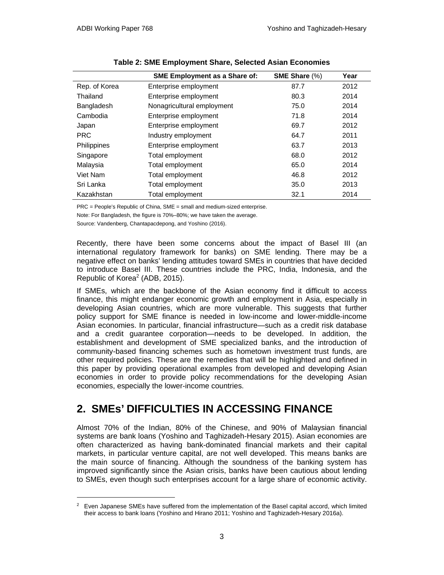|               | <b>SME Employment as a Share of:</b> | SME Share (%) | Year |
|---------------|--------------------------------------|---------------|------|
| Rep. of Korea | Enterprise employment                | 87.7          | 2012 |
| Thailand      | Enterprise employment                | 80.3          | 2014 |
| Bangladesh    | Nonagricultural employment           | 75.0          | 2014 |
| Cambodia      | Enterprise employment                | 71.8          | 2014 |
| Japan         | Enterprise employment                | 69.7          | 2012 |
| <b>PRC</b>    | Industry employment                  | 64.7          | 2011 |
| Philippines   | Enterprise employment                | 63.7          | 2013 |
| Singapore     | Total employment                     | 68.0          | 2012 |
| Malaysia      | Total employment                     | 65.0          | 2014 |
| Viet Nam      | Total employment                     | 46.8          | 2012 |
| Sri Lanka     | Total employment                     | 35.0          | 2013 |
| Kazakhstan    | Total employment                     | 32.1          | 2014 |

PRC = People's Republic of China, SME = small and medium-sized enterprise.

Note: For Bangladesh, the figure is 70%–80%; we have taken the average.

Source: Vandenberg, Chantapacdepong, and Yoshino (2016).

 $\overline{a}$ 

Recently, there have been some concerns about the impact of Basel III (an international regulatory framework for banks) on SME lending. There may be a negative effect on banks' lending attitudes toward SMEs in countries that have decided to introduce Basel III. These countries include the PRC, India, Indonesia, and the Republic of Korea<sup>2</sup> (ADB, 2015).

If SMEs, which are the backbone of the Asian economy find it difficult to access finance, this might endanger economic growth and employment in Asia, especially in developing Asian countries, which are more vulnerable. This suggests that further policy support for SME finance is needed in low-income and lower-middle-income Asian economies. In particular, financial infrastructure—such as a credit risk database and a credit guarantee corporation—needs to be developed. In addition, the establishment and development of SME specialized banks, and the introduction of community-based financing schemes such as hometown investment trust funds, are other required policies. These are the remedies that will be highlighted and defined in this paper by providing operational examples from developed and developing Asian economies in order to provide policy recommendations for the developing Asian economies, especially the lower-income countries.

## **2. SMEs' DIFFICULTIES IN ACCESSING FINANCE**

Almost 70% of the Indian, 80% of the Chinese, and 90% of Malaysian financial systems are bank loans (Yoshino and Taghizadeh-Hesary 2015). Asian economies are often characterized as having bank-dominated financial markets and their capital markets, in particular venture capital, are not well developed. This means banks are the main source of financing. Although the soundness of the banking system has improved significantly since the Asian crisis, banks have been cautious about lending to SMEs, even though such enterprises account for a large share of economic activity.

 $2$  Even Japanese SMEs have suffered from the implementation of the Basel capital accord, which limited their access to bank loans (Yoshino and Hirano 2011; Yoshino and Taghizadeh-Hesary 2016a).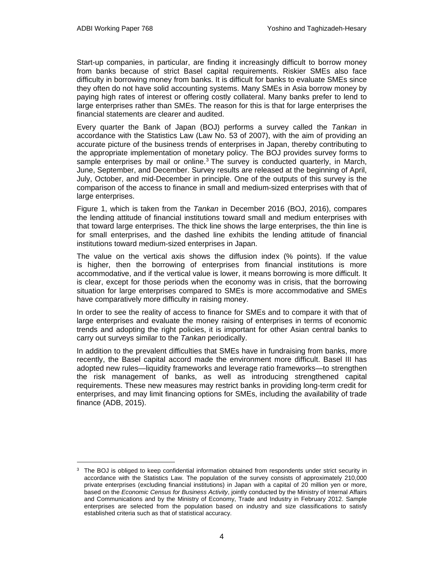$\overline{a}$ 

Start-up companies, in particular, are finding it increasingly difficult to borrow money from banks because of strict Basel capital requirements. Riskier SMEs also face difficulty in borrowing money from banks. It is difficult for banks to evaluate SMEs since they often do not have solid accounting systems. Many SMEs in Asia borrow money by paying high rates of interest or offering costly collateral. Many banks prefer to lend to large enterprises rather than SMEs. The reason for this is that for large enterprises the financial statements are clearer and audited.

Every quarter the Bank of Japan (BOJ) performs a survey called the *Tankan* in accordance with the Statistics Law (Law No. 53 of 2007), with the aim of providing an accurate picture of the business trends of enterprises in Japan, thereby contributing to the appropriate implementation of monetary policy. The BOJ provides survey forms to sample enterprises by mail or online. $3$  The survey is conducted quarterly, in March, June, September, and December. Survey results are released at the beginning of April, July, October, and mid-December in principle. One of the outputs of this survey is the comparison of the access to finance in small and medium-sized enterprises with that of large enterprises.

Figure 1, which is taken from the *Tankan* in December 2016 (BOJ, 2016), compares the lending attitude of financial institutions toward small and medium enterprises with that toward large enterprises. The thick line shows the large enterprises, the thin line is for small enterprises, and the dashed line exhibits the lending attitude of financial institutions toward medium-sized enterprises in Japan.

The value on the vertical axis shows the diffusion index (% points). If the value is higher, then the borrowing of enterprises from financial institutions is more accommodative, and if the vertical value is lower, it means borrowing is more difficult. It is clear, except for those periods when the economy was in crisis, that the borrowing situation for large enterprises compared to SMEs is more accommodative and SMEs have comparatively more difficulty in raising money.

In order to see the reality of access to finance for SMEs and to compare it with that of large enterprises and evaluate the money raising of enterprises in terms of economic trends and adopting the right policies, it is important for other Asian central banks to carry out surveys similar to the *Tankan* periodically.

In addition to the prevalent difficulties that SMEs have in fundraising from banks, more recently, the Basel capital accord made the environment more difficult. Basel III has adopted new rules—liquidity frameworks and leverage ratio frameworks—to strengthen the risk management of banks, as well as introducing strengthened capital requirements. These new measures may restrict banks in providing long-term credit for enterprises, and may limit financing options for SMEs, including the availability of trade finance (ADB, 2015).

<sup>&</sup>lt;sup>3</sup> The BOJ is obliged to keep confidential information obtained from respondents under strict security in accordance with the Statistics Law. The population of the survey consists of approximately 210,000 private enterprises (excluding financial institutions) in Japan with a capital of 20 million yen or more, based on the *Economic Census for Business Activity*, jointly conducted by the Ministry of Internal Affairs and Communications and by the Ministry of Economy, Trade and Industry in February 2012. Sample enterprises are selected from the population based on industry and size classifications to satisfy established criteria such as that of statistical accuracy.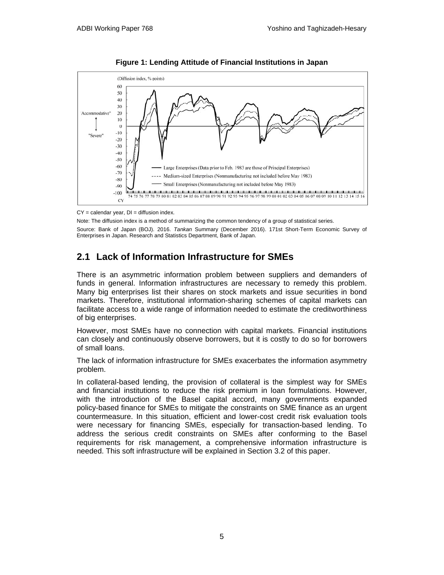

**Figure 1: Lending Attitude of Financial Institutions in Japan** 

 $CY =$  calendar year,  $DI =$  diffusion index.

Note: The diffusion index is a method of summarizing the common tendency of a group of statistical series.

Source: Bank of Japan (BOJ). 2016. *Tankan* Summary (December 2016). 171st Short-Term Economic Survey of Enterprises in Japan. Research and Statistics Department, Bank of Japan.

## **2.1 Lack of Information Infrastructure for SMEs**

There is an asymmetric information problem between suppliers and demanders of funds in general. Information infrastructures are necessary to remedy this problem. Many big enterprises list their shares on stock markets and issue securities in bond markets. Therefore, institutional information-sharing schemes of capital markets can facilitate access to a wide range of information needed to estimate the creditworthiness of big enterprises.

However, most SMEs have no connection with capital markets. Financial institutions can closely and continuously observe borrowers, but it is costly to do so for borrowers of small loans.

The lack of information infrastructure for SMEs exacerbates the information asymmetry problem.

In collateral-based lending, the provision of collateral is the simplest way for SMEs and financial institutions to reduce the risk premium in loan formulations. However, with the introduction of the Basel capital accord, many governments expanded policy-based finance for SMEs to mitigate the constraints on SME finance as an urgent countermeasure. In this situation, efficient and lower-cost credit risk evaluation tools were necessary for financing SMEs, especially for transaction-based lending. To address the serious credit constraints on SMEs after conforming to the Basel requirements for risk management, a comprehensive information infrastructure is needed. This soft infrastructure will be explained in Section 3.2 of this paper.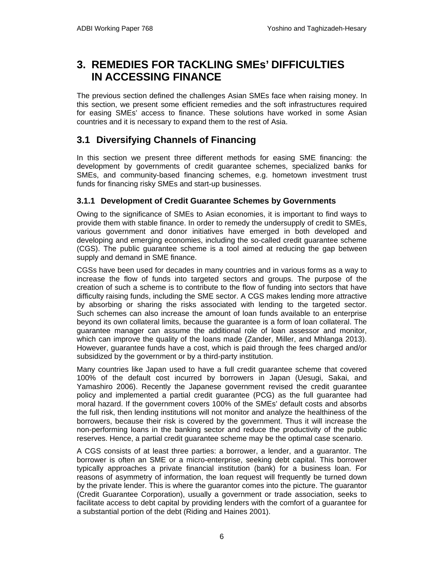## **3. REMEDIES FOR TACKLING SMEs' DIFFICULTIES IN ACCESSING FINANCE**

The previous section defined the challenges Asian SMEs face when raising money. In this section, we present some efficient remedies and the soft infrastructures required for easing SMEs' access to finance. These solutions have worked in some Asian countries and it is necessary to expand them to the rest of Asia.

## **3.1 Diversifying Channels of Financing**

In this section we present three different methods for easing SME financing: the development by governments of credit guarantee schemes, specialized banks for SMEs, and community-based financing schemes, e.g. hometown investment trust funds for financing risky SMEs and start-up businesses.

#### **3.1.1 Development of Credit Guarantee Schemes by Governments**

Owing to the significance of SMEs to Asian economies, it is important to find ways to provide them with stable finance. In order to remedy the undersupply of credit to SMEs, various government and donor initiatives have emerged in both developed and developing and emerging economies, including the so-called credit guarantee scheme (CGS). The public guarantee scheme is a tool aimed at reducing the gap between supply and demand in SME finance.

CGSs have been used for decades in many countries and in various forms as a way to increase the flow of funds into targeted sectors and groups. The purpose of the creation of such a scheme is to contribute to the flow of funding into sectors that have difficulty raising funds, including the SME sector. A CGS makes lending more attractive by absorbing or sharing the risks associated with lending to the targeted sector. Such schemes can also increase the amount of loan funds available to an enterprise beyond its own collateral limits, because the guarantee is a form of loan collateral. The guarantee manager can assume the additional role of loan assessor and monitor, which can improve the quality of the loans made (Zander, Miller, and Mhlanga 2013). However, guarantee funds have a cost, which is paid through the fees charged and/or subsidized by the government or by a third-party institution.

Many countries like Japan used to have a full credit guarantee scheme that covered 100% of the default cost incurred by borrowers in Japan (Uesugi, Sakai, and Yamashiro 2006). Recently the Japanese government revised the credit guarantee policy and implemented a partial credit guarantee (PCG) as the full guarantee had moral hazard. If the government covers 100% of the SMEs' default costs and absorbs the full risk, then lending institutions will not monitor and analyze the healthiness of the borrowers, because their risk is covered by the government. Thus it will increase the non-performing loans in the banking sector and reduce the productivity of the public reserves. Hence, a partial credit guarantee scheme may be the optimal case scenario.

A CGS consists of at least three parties: a borrower, a lender, and a guarantor. The borrower is often an SME or a micro-enterprise, seeking debt capital. This borrower typically approaches a private financial institution (bank) for a business loan. For reasons of asymmetry of information, the loan request will frequently be turned down by the private lender. This is where the guarantor comes into the picture. The guarantor (Credit Guarantee Corporation), usually a government or trade association, seeks to facilitate access to debt capital by providing lenders with the comfort of a guarantee for a substantial portion of the debt (Riding and Haines 2001).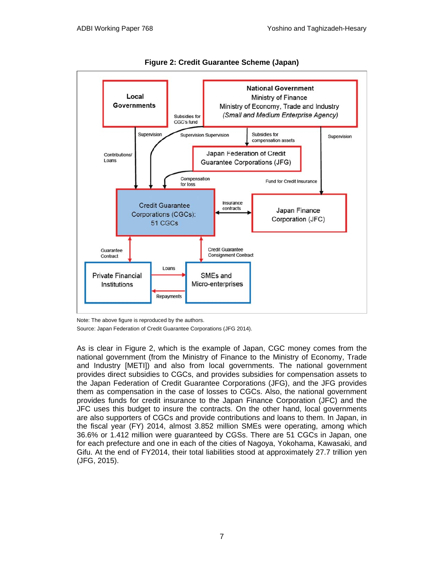

**Figure 2: Credit Guarantee Scheme (Japan)** 

As is clear in Figure 2, which is the example of Japan, CGC money comes from the national government (from the Ministry of Finance to the Ministry of Economy, Trade and Industry [METI]) and also from local governments. The national government provides direct subsidies to CGCs, and provides subsidies for compensation assets to the Japan Federation of Credit Guarantee Corporations (JFG), and the JFG provides them as compensation in the case of losses to CGCs. Also, the national government provides funds for credit insurance to the Japan Finance Corporation (JFC) and the JFC uses this budget to insure the contracts. On the other hand, local governments are also supporters of CGCs and provide contributions and loans to them. In Japan, in the fiscal year (FY) 2014, almost 3.852 million SMEs were operating, among which 36.6% or 1.412 million were guaranteed by CGSs. There are 51 CGCs in Japan, one for each prefecture and one in each of the cities of Nagoya, Yokohama, Kawasaki, and Gifu. At the end of FY2014, their total liabilities stood at approximately 27.7 trillion yen (JFG, 2015).

Note: The above figure is reproduced by the authors. Source: Japan Federation of Credit Guarantee Corporations (JFG 2014).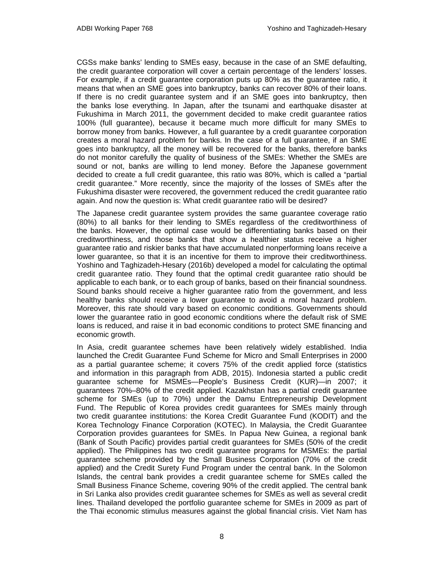CGSs make banks' lending to SMEs easy, because in the case of an SME defaulting, the credit guarantee corporation will cover a certain percentage of the lenders' losses. For example, if a credit guarantee corporation puts up 80% as the guarantee ratio, it means that when an SME goes into bankruptcy, banks can recover 80% of their loans. If there is no credit guarantee system and if an SME goes into bankruptcy, then the banks lose everything. In Japan, after the tsunami and earthquake disaster at Fukushima in March 2011, the government decided to make credit guarantee ratios 100% (full guarantee), because it became much more difficult for many SMEs to borrow money from banks. However, a full guarantee by a credit guarantee corporation creates a moral hazard problem for banks. In the case of a full guarantee, if an SME goes into bankruptcy, all the money will be recovered for the banks, therefore banks do not monitor carefully the quality of business of the SMEs: Whether the SMEs are sound or not, banks are willing to lend money. Before the Japanese government decided to create a full credit guarantee, this ratio was 80%, which is called a "partial credit guarantee." More recently, since the majority of the losses of SMEs after the Fukushima disaster were recovered, the government reduced the credit guarantee ratio again. And now the question is: What credit guarantee ratio will be desired?

The Japanese credit guarantee system provides the same guarantee coverage ratio (80%) to all banks for their lending to SMEs regardless of the creditworthiness of the banks. However, the optimal case would be differentiating banks based on their creditworthiness, and those banks that show a healthier status receive a higher guarantee ratio and riskier banks that have accumulated nonperforming loans receive a lower guarantee, so that it is an incentive for them to improve their creditworthiness. Yoshino and Taghizadeh-Hesary (2016b) developed a model for calculating the optimal credit guarantee ratio. They found that the optimal credit guarantee ratio should be applicable to each bank, or to each group of banks, based on their financial soundness. Sound banks should receive a higher guarantee ratio from the government, and less healthy banks should receive a lower guarantee to avoid a moral hazard problem. Moreover, this rate should vary based on economic conditions. Governments should lower the guarantee ratio in good economic conditions where the default risk of SME loans is reduced, and raise it in bad economic conditions to protect SME financing and economic growth.

In Asia, credit guarantee schemes have been relatively widely established. India launched the Credit Guarantee Fund Scheme for Micro and Small Enterprises in 2000 as a partial guarantee scheme; it covers 75% of the credit applied force (statistics and information in this paragraph from ADB, 2015). Indonesia started a public credit guarantee scheme for MSMEs—People's Business Credit (KUR)—in 2007; it guarantees 70%–80% of the credit applied. Kazakhstan has a partial credit guarantee scheme for SMEs (up to 70%) under the Damu Entrepreneurship Development Fund. The Republic of Korea provides credit guarantees for SMEs mainly through two credit guarantee institutions: the Korea Credit Guarantee Fund (KODIT) and the Korea Technology Finance Corporation (KOTEC). In Malaysia, the Credit Guarantee Corporation provides guarantees for SMEs. In Papua New Guinea, a regional bank (Bank of South Pacific) provides partial credit guarantees for SMEs (50% of the credit applied). The Philippines has two credit guarantee programs for MSMEs: the partial guarantee scheme provided by the Small Business Corporation (70% of the credit applied) and the Credit Surety Fund Program under the central bank. In the Solomon Islands, the central bank provides a credit guarantee scheme for SMEs called the Small Business Finance Scheme, covering 90% of the credit applied. The central bank in Sri Lanka also provides credit guarantee schemes for SMEs as well as several credit lines. Thailand developed the portfolio guarantee scheme for SMEs in 2009 as part of the Thai economic stimulus measures against the global financial crisis. Viet Nam has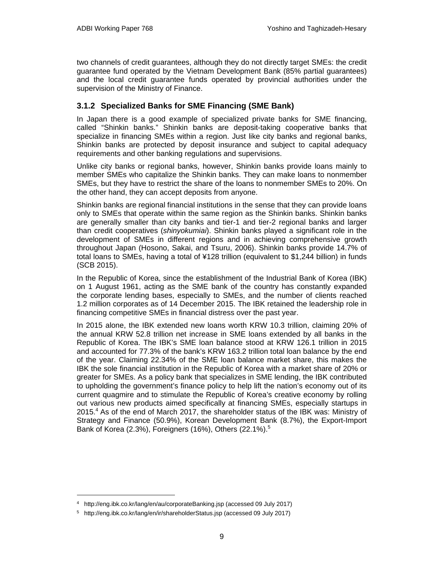two channels of credit guarantees, although they do not directly target SMEs: the credit guarantee fund operated by the Vietnam Development Bank (85% partial guarantees) and the local credit guarantee funds operated by provincial authorities under the supervision of the Ministry of Finance.

#### **3.1.2 Specialized Banks for SME Financing (SME Bank)**

In Japan there is a good example of specialized private banks for SME financing, called "Shinkin banks." Shinkin banks are deposit-taking cooperative banks that specialize in financing SMEs within a region. Just like city banks and regional banks, Shinkin banks are protected by deposit insurance and subject to capital adequacy requirements and other banking regulations and supervisions.

Unlike city banks or regional banks, however, Shinkin banks provide loans mainly to member SMEs who capitalize the Shinkin banks. They can make loans to nonmember SMEs, but they have to restrict the share of the loans to nonmember SMEs to 20%. On the other hand, they can accept deposits from anyone.

Shinkin banks are regional financial institutions in the sense that they can provide loans only to SMEs that operate within the same region as the Shinkin banks. Shinkin banks are generally smaller than city banks and tier-1 and tier-2 regional banks and larger than credit cooperatives (*shinyokumiai*). Shinkin banks played a significant role in the development of SMEs in different regions and in achieving comprehensive growth throughout Japan (Hosono, Sakai, and Tsuru, 2006). Shinkin banks provide 14.7% of total loans to SMEs, having a total of ¥128 trillion (equivalent to \$1,244 billion) in funds (SCB 2015).

In the Republic of Korea, since the establishment of the Industrial Bank of Korea (IBK) on 1 August 1961, acting as the SME bank of the country has constantly expanded the corporate lending bases, especially to SMEs, and the number of clients reached 1.2 million corporates as of 14 December 2015. The IBK retained the leadership role in financing competitive SMEs in financial distress over the past year.

In 2015 alone, the IBK extended new loans worth KRW 10.3 trillion, claiming 20% of the annual KRW 52.8 trillion net increase in SME loans extended by all banks in the Republic of Korea. The IBK's SME loan balance stood at KRW 126.1 trillion in 2015 and accounted for 77.3% of the bank's KRW 163.2 trillion total loan balance by the end of the year. Claiming 22.34% of the SME loan balance market share, this makes the IBK the sole financial institution in the Republic of Korea with a market share of 20% or greater for SMEs. As a policy bank that specializes in SME lending, the IBK contributed to upholding the government's finance policy to help lift the nation's economy out of its current quagmire and to stimulate the Republic of Korea's creative economy by rolling out various new products aimed specifically at financing SMEs, especially startups in 2015.<sup>4</sup> As of the end of March 2017, the shareholder status of the IBK was: Ministry of Strategy and Finance (50.9%), Korean Development Bank (8.7%), the Export-Import Bank of Korea (2.3%), Foreigners (16%), Others (22.1%).5

l

<sup>4</sup> http://eng.ibk.co.kr/lang/en/au/corporateBanking.jsp (accessed 09 July 2017)

<sup>5</sup> http://eng.ibk.co.kr/lang/en/ir/shareholderStatus.jsp (accessed 09 July 2017)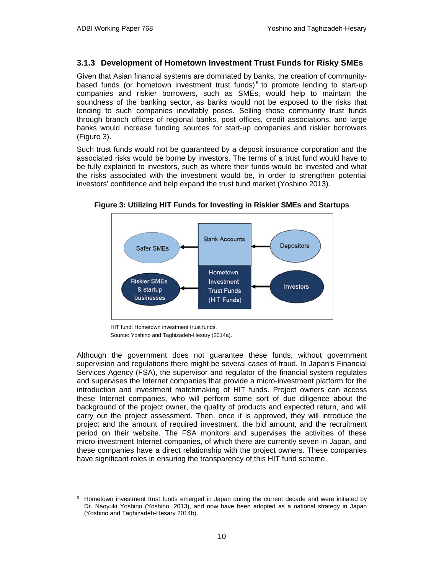#### **3.1.3 Development of Hometown Investment Trust Funds for Risky SMEs**

Given that Asian financial systems are dominated by banks, the creation of communitybased funds (or hometown investment trust funds) $6$  to promote lending to start-up companies and riskier borrowers, such as SMEs, would help to maintain the soundness of the banking sector, as banks would not be exposed to the risks that lending to such companies inevitably poses. Selling those community trust funds through branch offices of regional banks, post offices, credit associations, and large banks would increase funding sources for start-up companies and riskier borrowers (Figure 3).

Such trust funds would not be guaranteed by a deposit insurance corporation and the associated risks would be borne by investors. The terms of a trust fund would have to be fully explained to investors, such as where their funds would be invested and what the risks associated with the investment would be, in order to strengthen potential investors' confidence and help expand the trust fund market (Yoshino 2013).



**Figure 3: Utilizing HIT Funds for Investing in Riskier SMEs and Startups** 

 $\overline{a}$ 

Although the government does not guarantee these funds, without government supervision and regulations there might be several cases of fraud. In Japan's Financial Services Agency (FSA), the supervisor and regulator of the financial system regulates and supervises the Internet companies that provide a micro-investment platform for the introduction and investment matchmaking of HIT funds. Project owners can access these Internet companies, who will perform some sort of due diligence about the background of the project owner, the quality of products and expected return, and will carry out the project assessment. Then, once it is approved, they will introduce the project and the amount of required investment, the bid amount, and the recruitment period on their website. The FSA monitors and supervises the activities of these micro-investment Internet companies, of which there are currently seven in Japan, and these companies have a direct relationship with the project owners. These companies have significant roles in ensuring the transparency of this HIT fund scheme.

HIT fund: Hometown investment trust funds.

Source: Yoshino and Taghizadeh-Hesary (2014a).

<sup>6</sup> Hometown investment trust funds emerged in Japan during the current decade and were initiated by Dr. Naoyuki Yoshino (Yoshino, 2013), and now have been adopted as a national strategy in Japan (Yoshino and Taghizadeh-Hesary 2014b).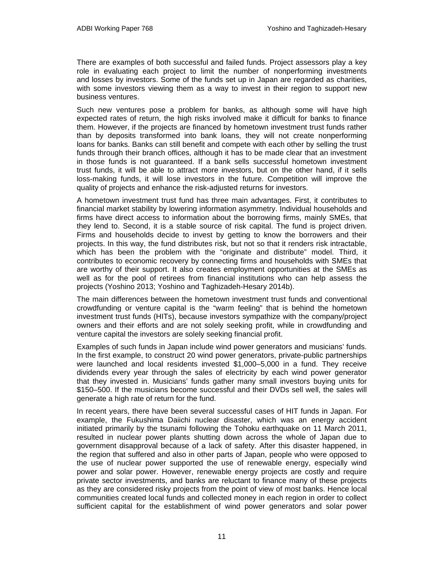There are examples of both successful and failed funds. Project assessors play a key role in evaluating each project to limit the number of nonperforming investments and losses by investors. Some of the funds set up in Japan are regarded as charities, with some investors viewing them as a way to invest in their region to support new business ventures.

Such new ventures pose a problem for banks, as although some will have high expected rates of return, the high risks involved make it difficult for banks to finance them. However, if the projects are financed by hometown investment trust funds rather than by deposits transformed into bank loans, they will not create nonperforming loans for banks. Banks can still benefit and compete with each other by selling the trust funds through their branch offices, although it has to be made clear that an investment in those funds is not guaranteed. If a bank sells successful hometown investment trust funds, it will be able to attract more investors, but on the other hand, if it sells loss-making funds, it will lose investors in the future. Competition will improve the quality of projects and enhance the risk-adjusted returns for investors.

A hometown investment trust fund has three main advantages. First, it contributes to financial market stability by lowering information asymmetry. Individual households and firms have direct access to information about the borrowing firms, mainly SMEs, that they lend to. Second, it is a stable source of risk capital. The fund is project driven. Firms and households decide to invest by getting to know the borrowers and their projects. In this way, the fund distributes risk, but not so that it renders risk intractable, which has been the problem with the "originate and distribute" model. Third, it contributes to economic recovery by connecting firms and households with SMEs that are worthy of their support. It also creates employment opportunities at the SMEs as well as for the pool of retirees from financial institutions who can help assess the projects (Yoshino 2013; Yoshino and Taghizadeh-Hesary 2014b).

The main differences between the hometown investment trust funds and conventional crowdfunding or venture capital is the "warm feeling" that is behind the hometown investment trust funds (HITs), because investors sympathize with the company/project owners and their efforts and are not solely seeking profit, while in crowdfunding and venture capital the investors are solely seeking financial profit.

Examples of such funds in Japan include wind power generators and musicians' funds. In the first example, to construct 20 wind power generators, private-public partnerships were launched and local residents invested \$1,000–5,000 in a fund. They receive dividends every year through the sales of electricity by each wind power generator that they invested in. Musicians' funds gather many small investors buying units for \$150–500. If the musicians become successful and their DVDs sell well, the sales will generate a high rate of return for the fund.

In recent years, there have been several successful cases of HIT funds in Japan. For example, the Fukushima Daiichi nuclear disaster, which was an energy accident initiated primarily by the tsunami following the Tohoku earthquake on 11 March 2011, resulted in nuclear power plants shutting down across the whole of Japan due to government disapproval because of a lack of safety. After this disaster happened, in the region that suffered and also in other parts of Japan, people who were opposed to the use of nuclear power supported the use of renewable energy, especially wind power and solar power. However, renewable energy projects are costly and require private sector investments, and banks are reluctant to finance many of these projects as they are considered risky projects from the point of view of most banks. Hence local communities created local funds and collected money in each region in order to collect sufficient capital for the establishment of wind power generators and solar power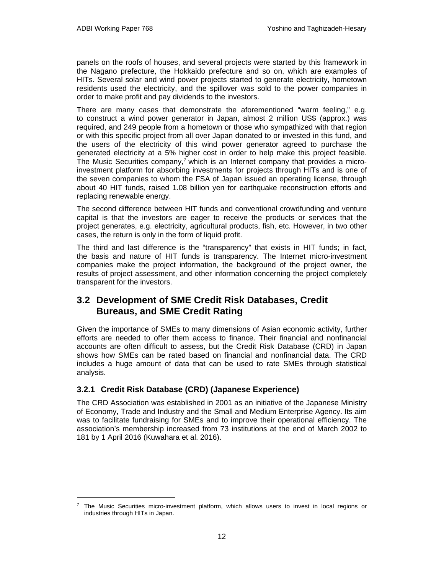$\overline{a}$ 

panels on the roofs of houses, and several projects were started by this framework in the Nagano prefecture, the Hokkaido prefecture and so on, which are examples of HITs. Several solar and wind power projects started to generate electricity, hometown residents used the electricity, and the spillover was sold to the power companies in order to make profit and pay dividends to the investors.

There are many cases that demonstrate the aforementioned "warm feeling," e.g. to construct a wind power generator in Japan, almost 2 million US\$ (approx.) was required, and 249 people from a hometown or those who sympathized with that region or with this specific project from all over Japan donated to or invested in this fund, and the users of the electricity of this wind power generator agreed to purchase the generated electricity at a 5% higher cost in order to help make this project feasible. The Music Securities company,<sup>7</sup> which is an Internet company that provides a microinvestment platform for absorbing investments for projects through HITs and is one of the seven companies to whom the FSA of Japan issued an operating license, through about 40 HIT funds, raised 1.08 billion yen for earthquake reconstruction efforts and replacing renewable energy.

The second difference between HIT funds and conventional crowdfunding and venture capital is that the investors are eager to receive the products or services that the project generates, e.g. electricity, agricultural products, fish, etc. However, in two other cases, the return is only in the form of liquid profit.

The third and last difference is the "transparency" that exists in HIT funds; in fact, the basis and nature of HIT funds is transparency. The Internet micro-investment companies make the project information, the background of the project owner, the results of project assessment, and other information concerning the project completely transparent for the investors.

### **3.2 Development of SME Credit Risk Databases, Credit Bureaus, and SME Credit Rating**

Given the importance of SMEs to many dimensions of Asian economic activity, further efforts are needed to offer them access to finance. Their financial and nonfinancial accounts are often difficult to assess, but the Credit Risk Database (CRD) in Japan shows how SMEs can be rated based on financial and nonfinancial data. The CRD includes a huge amount of data that can be used to rate SMEs through statistical analysis.

#### **3.2.1 Credit Risk Database (CRD) (Japanese Experience)**

The CRD Association was established in 2001 as an initiative of the Japanese Ministry of Economy, Trade and Industry and the Small and Medium Enterprise Agency. Its aim was to facilitate fundraising for SMEs and to improve their operational efficiency. The association's membership increased from 73 institutions at the end of March 2002 to 181 by 1 April 2016 (Kuwahara et al. 2016).

<sup>7</sup> The Music Securities micro-investment platform, which allows users to invest in local regions or industries through HITs in Japan.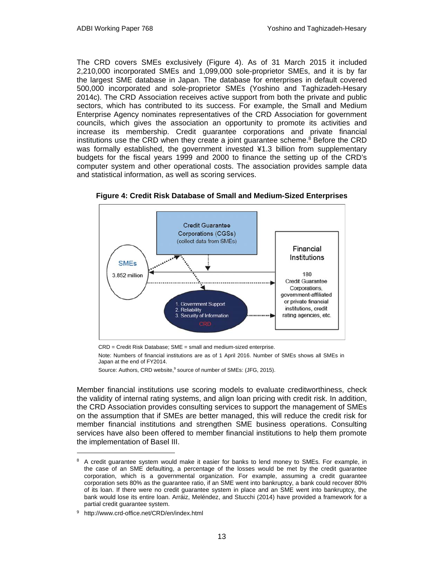The CRD covers SMEs exclusively (Figure 4). As of 31 March 2015 it included 2,210,000 incorporated SMEs and 1,099,000 sole-proprietor SMEs, and it is by far the largest SME database in Japan. The database for enterprises in default covered 500,000 incorporated and sole-proprietor SMEs (Yoshino and Taghizadeh-Hesary 2014c). The CRD Association receives active support from both the private and public sectors, which has contributed to its success. For example, the Small and Medium Enterprise Agency nominates representatives of the CRD Association for government councils, which gives the association an opportunity to promote its activities and increase its membership. Credit guarantee corporations and private financial institutions use the CRD when they create a joint guarantee scheme.<sup>8</sup> Before the CRD was formally established, the government invested ¥1.3 billion from supplementary budgets for the fiscal years 1999 and 2000 to finance the setting up of the CRD's computer system and other operational costs. The association provides sample data and statistical information, as well as scoring services.



**Figure 4: Credit Risk Database of Small and Medium-Sized Enterprises** 

CRD = Credit Risk Database; SME = small and medium-sized enterprise.

Note: Numbers of financial institutions are as of 1 April 2016. Number of SMEs shows all SMEs in Japan at the end of FY2014.

Source: Authors, CRD website,<sup>9</sup> source of number of SMEs: (JFG, 2015).

Member financial institutions use scoring models to evaluate creditworthiness, check the validity of internal rating systems, and align loan pricing with credit risk. In addition, the CRD Association provides consulting services to support the management of SMEs on the assumption that if SMEs are better managed, this will reduce the credit risk for member financial institutions and strengthen SME business operations. Consulting services have also been offered to member financial institutions to help them promote the implementation of Basel III.

l

<sup>&</sup>lt;sup>8</sup> A credit guarantee system would make it easier for banks to lend money to SMEs. For example, in the case of an SME defaulting, a percentage of the losses would be met by the credit guarantee corporation, which is a governmental organization. For example, assuming a credit guarantee corporation sets 80% as the guarantee ratio, if an SME went into bankruptcy, a bank could recover 80% of its loan. If there were no credit guarantee system in place and an SME went into bankruptcy, the bank would lose its entire loan. Arráiz, Meléndez, and Stucchi (2014) have provided a framework for a partial credit guarantee system.

<sup>9</sup> http://www.crd-office.net/CRD/en/index.html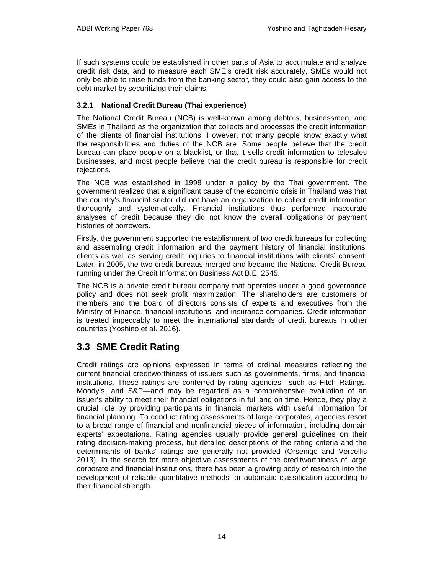If such systems could be established in other parts of Asia to accumulate and analyze credit risk data, and to measure each SME's credit risk accurately, SMEs would not only be able to raise funds from the banking sector, they could also gain access to the debt market by securitizing their claims.

#### **3.2.1 National Credit Bureau (Thai experience)**

The National Credit Bureau (NCB) is well-known among debtors, businessmen, and SMEs in Thailand as the organization that collects and processes the credit information of the clients of financial institutions. However, not many people know exactly what the responsibilities and duties of the NCB are. Some people believe that the credit bureau can place people on a blacklist, or that it sells credit information to telesales businesses, and most people believe that the credit bureau is responsible for credit rejections.

The NCB was established in 1998 under a policy by the Thai government. The government realized that a significant cause of the economic crisis in Thailand was that the country's financial sector did not have an organization to collect credit information thoroughly and systematically. Financial institutions thus performed inaccurate analyses of credit because they did not know the overall obligations or payment histories of borrowers.

Firstly, the government supported the establishment of two credit bureaus for collecting and assembling credit information and the payment history of financial institutions' clients as well as serving credit inquiries to financial institutions with clients' consent. Later, in 2005, the two credit bureaus merged and became the National Credit Bureau running under the Credit Information Business Act B.E. 2545.

The NCB is a private credit bureau company that operates under a good governance policy and does not seek profit maximization. The shareholders are customers or members and the board of directors consists of experts and executives from the Ministry of Finance, financial institutions, and insurance companies. Credit information is treated impeccably to meet the international standards of credit bureaus in other countries (Yoshino et al. 2016).

## **3.3 SME Credit Rating**

Credit ratings are opinions expressed in terms of ordinal measures reflecting the current financial creditworthiness of issuers such as governments, firms, and financial institutions. These ratings are conferred by rating agencies—such as Fitch Ratings, Moody's, and S&P—and may be regarded as a comprehensive evaluation of an issuer's ability to meet their financial obligations in full and on time. Hence, they play a crucial role by providing participants in financial markets with useful information for financial planning. To conduct rating assessments of large corporates, agencies resort to a broad range of financial and nonfinancial pieces of information, including domain experts' expectations. Rating agencies usually provide general guidelines on their rating decision-making process, but detailed descriptions of the rating criteria and the determinants of banks' ratings are generally not provided (Orsenigo and Vercellis 2013). In the search for more objective assessments of the creditworthiness of large corporate and financial institutions, there has been a growing body of research into the development of reliable quantitative methods for automatic classification according to their financial strength.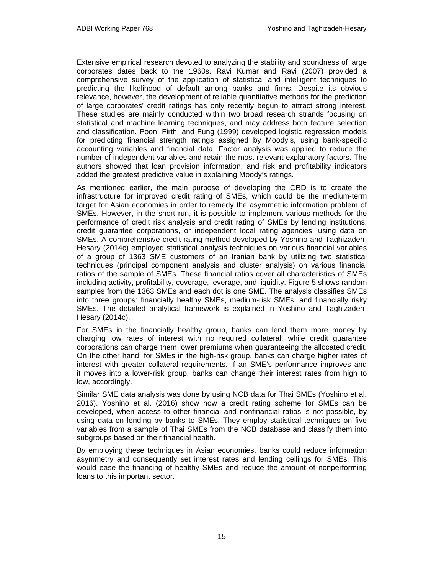Extensive empirical research devoted to analyzing the stability and soundness of large corporates dates back to the 1960s. Ravi Kumar and Ravi (2007) provided a comprehensive survey of the application of statistical and intelligent techniques to predicting the likelihood of default among banks and firms. Despite its obvious relevance, however, the development of reliable quantitative methods for the prediction of large corporates' credit ratings has only recently begun to attract strong interest. These studies are mainly conducted within two broad research strands focusing on statistical and machine learning techniques, and may address both feature selection and classification. Poon, Firth, and Fung (1999) developed logistic regression models for predicting financial strength ratings assigned by Moody's, using bank-specific accounting variables and financial data. Factor analysis was applied to reduce the number of independent variables and retain the most relevant explanatory factors. The authors showed that loan provision information, and risk and profitability indicators added the greatest predictive value in explaining Moody's ratings.

As mentioned earlier, the main purpose of developing the CRD is to create the infrastructure for improved credit rating of SMEs, which could be the medium-term target for Asian economies in order to remedy the asymmetric information problem of SMEs. However, in the short run, it is possible to implement various methods for the performance of credit risk analysis and credit rating of SMEs by lending institutions, credit guarantee corporations, or independent local rating agencies, using data on SMEs. A comprehensive credit rating method developed by Yoshino and Taghizadeh-Hesary (2014c) employed statistical analysis techniques on various financial variables of a group of 1363 SME customers of an Iranian bank by utilizing two statistical techniques (principal component analysis and cluster analysis) on various financial ratios of the sample of SMEs. These financial ratios cover all characteristics of SMEs including activity, profitability, coverage, leverage, and liquidity. Figure 5 shows random samples from the 1363 SMEs and each dot is one SME. The analysis classifies SMEs into three groups: financially healthy SMEs, medium-risk SMEs, and financially risky SMEs. The detailed analytical framework is explained in Yoshino and Taghizadeh-Hesary (2014c).

For SMEs in the financially healthy group, banks can lend them more money by charging low rates of interest with no required collateral, while credit guarantee corporations can charge them lower premiums when guaranteeing the allocated credit. On the other hand, for SMEs in the high-risk group, banks can charge higher rates of interest with greater collateral requirements. If an SME's performance improves and it moves into a lower-risk group, banks can change their interest rates from high to low, accordingly.

Similar SME data analysis was done by using NCB data for Thai SMEs (Yoshino et al. 2016). Yoshino et al. (2016) show how a credit rating scheme for SMEs can be developed, when access to other financial and nonfinancial ratios is not possible, by using data on lending by banks to SMEs. They employ statistical techniques on five variables from a sample of Thai SMEs from the NCB database and classify them into subgroups based on their financial health.

By employing these techniques in Asian economies, banks could reduce information asymmetry and consequently set interest rates and lending ceilings for SMEs. This would ease the financing of healthy SMEs and reduce the amount of nonperforming loans to this important sector.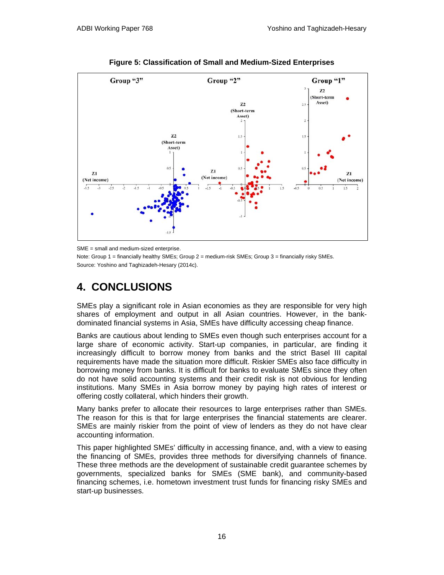

**Figure 5: Classification of Small and Medium-Sized Enterprises** 

SME = small and medium-sized enterprise.

Note: Group 1 = financially healthy SMEs; Group 2 = medium-risk SMEs; Group 3 = financially risky SMEs. Source: Yoshino and Taghizadeh-Hesary (2014c).

# **4. CONCLUSIONS**

SMEs play a significant role in Asian economies as they are responsible for very high shares of employment and output in all Asian countries. However, in the bankdominated financial systems in Asia, SMEs have difficulty accessing cheap finance.

Banks are cautious about lending to SMEs even though such enterprises account for a large share of economic activity. Start-up companies, in particular, are finding it increasingly difficult to borrow money from banks and the strict Basel III capital requirements have made the situation more difficult. Riskier SMEs also face difficulty in borrowing money from banks. It is difficult for banks to evaluate SMEs since they often do not have solid accounting systems and their credit risk is not obvious for lending institutions. Many SMEs in Asia borrow money by paying high rates of interest or offering costly collateral, which hinders their growth.

Many banks prefer to allocate their resources to large enterprises rather than SMEs. The reason for this is that for large enterprises the financial statements are clearer. SMEs are mainly riskier from the point of view of lenders as they do not have clear accounting information.

This paper highlighted SMEs' difficulty in accessing finance, and, with a view to easing the financing of SMEs, provides three methods for diversifying channels of finance. These three methods are the development of sustainable credit guarantee schemes by governments, specialized banks for SMEs (SME bank), and community-based financing schemes, i.e. hometown investment trust funds for financing risky SMEs and start-up businesses.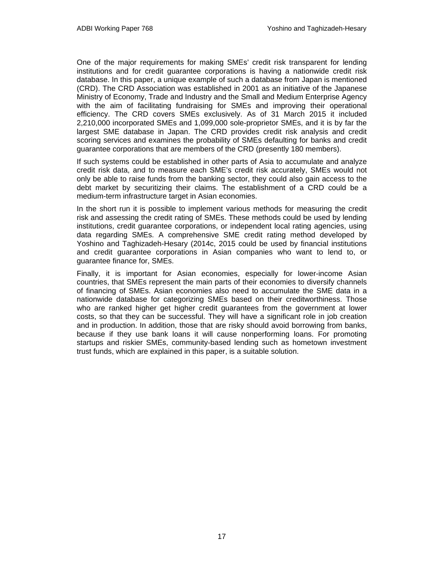One of the major requirements for making SMEs' credit risk transparent for lending institutions and for credit guarantee corporations is having a nationwide credit risk database. In this paper, a unique example of such a database from Japan is mentioned (CRD). The CRD Association was established in 2001 as an initiative of the Japanese Ministry of Economy, Trade and Industry and the Small and Medium Enterprise Agency with the aim of facilitating fundraising for SMEs and improving their operational efficiency. The CRD covers SMEs exclusively. As of 31 March 2015 it included 2,210,000 incorporated SMEs and 1,099,000 sole-proprietor SMEs, and it is by far the largest SME database in Japan. The CRD provides credit risk analysis and credit scoring services and examines the probability of SMEs defaulting for banks and credit guarantee corporations that are members of the CRD (presently 180 members).

If such systems could be established in other parts of Asia to accumulate and analyze credit risk data, and to measure each SME's credit risk accurately, SMEs would not only be able to raise funds from the banking sector, they could also gain access to the debt market by securitizing their claims. The establishment of a CRD could be a medium-term infrastructure target in Asian economies.

In the short run it is possible to implement various methods for measuring the credit risk and assessing the credit rating of SMEs. These methods could be used by lending institutions, credit guarantee corporations, or independent local rating agencies, using data regarding SMEs. A comprehensive SME credit rating method developed by Yoshino and Taghizadeh-Hesary (2014c, 2015 could be used by financial institutions and credit guarantee corporations in Asian companies who want to lend to, or guarantee finance for, SMEs.

Finally, it is important for Asian economies, especially for lower-income Asian countries, that SMEs represent the main parts of their economies to diversify channels of financing of SMEs. Asian economies also need to accumulate the SME data in a nationwide database for categorizing SMEs based on their creditworthiness. Those who are ranked higher get higher credit guarantees from the government at lower costs, so that they can be successful. They will have a significant role in job creation and in production. In addition, those that are risky should avoid borrowing from banks, because if they use bank loans it will cause nonperforming loans. For promoting startups and riskier SMEs, community-based lending such as hometown investment trust funds, which are explained in this paper, is a suitable solution.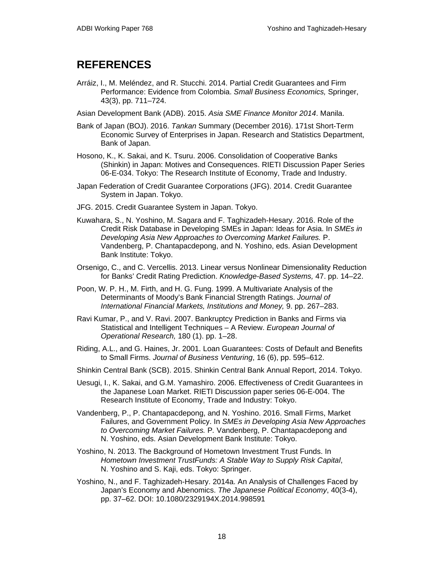## **REFERENCES**

- Arráiz, I., M. Meléndez, and R. Stucchi. 2014. Partial Credit Guarantees and Firm Performance: Evidence from Colombia. *Small Business Economics,* Springer, 43(3), pp. 711–724.
- Asian Development Bank (ADB). 2015. *Asia SME Finance Monitor 2014*. Manila.
- Bank of Japan (BOJ). 2016. *Tankan* Summary (December 2016). 171st Short-Term Economic Survey of Enterprises in Japan. Research and Statistics Department, Bank of Japan.
- Hosono, K., K. Sakai, and K. Tsuru. 2006. Consolidation of Cooperative Banks (Shinkin) in Japan: Motives and Consequences. RIETI Discussion Paper Series 06-E-034. Tokyo: The Research Institute of Economy, Trade and Industry.
- Japan Federation of Credit Guarantee Corporations (JFG). 2014. Credit Guarantee System in Japan. Tokyo.
- JFG. 2015. Credit Guarantee System in Japan. Tokyo.
- Kuwahara, S., N. Yoshino, M. Sagara and F. Taghizadeh-Hesary. 2016. Role of the Credit Risk Database in Developing SMEs in Japan: Ideas for Asia. In *SMEs in Developing Asia New Approaches to Overcoming Market Failures.* P. Vandenberg, P. Chantapacdepong, and N. Yoshino, eds. Asian Development Bank Institute: Tokyo.
- Orsenigo, C., and C. Vercellis. 2013. Linear versus Nonlinear Dimensionality Reduction for Banks' Credit Rating Prediction. *Knowledge-Based Systems,* 47. pp. 14–22.
- Poon, W. P. H., M. Firth, and H. G. Fung. 1999. A Multivariate Analysis of the Determinants of Moody's Bank Financial Strength Ratings. *Journal of International Financial Markets, Institutions and Money,* 9. pp. 267–283.
- Ravi Kumar, P., and V. Ravi. 2007. Bankruptcy Prediction in Banks and Firms via Statistical and Intelligent Techniques – A Review. *European Journal of Operational Research,* 180 (1). pp. 1–28.
- Riding, A.L., and G. Haines, Jr. 2001. Loan Guarantees: Costs of Default and Benefits to Small Firms. *Journal of Business Venturing*, 16 (6), pp. 595–612.
- Shinkin Central Bank (SCB). 2015. Shinkin Central Bank Annual Report, 2014. Tokyo.
- Uesugi, I., K. Sakai, and G.M. Yamashiro. 2006. Effectiveness of Credit Guarantees in the Japanese Loan Market. RIETI Discussion paper series 06-E-004. The Research Institute of Economy, Trade and Industry: Tokyo.
- Vandenberg, P., P. Chantapacdepong, and N. Yoshino. 2016. Small Firms, Market Failures, and Government Policy. In *SMEs in Developing Asia New Approaches to Overcoming Market Failures.* P*.* Vandenberg, P. Chantapacdepong and N. Yoshino, eds. Asian Development Bank Institute: Tokyo.
- Yoshino, N. 2013. The Background of Hometown Investment Trust Funds. In *Hometown Investment TrustFunds: A Stable Way to Supply Risk Capital*, N. Yoshino and S. Kaji, eds. Tokyo: Springer.
- Yoshino, N., and F. Taghizadeh-Hesary. 2014a. An Analysis of Challenges Faced by Japan's Economy and Abenomics. *The Japanese Political Economy*, 40(3-4), pp. 37–62. DOI: 10.1080/2329194X.2014.998591